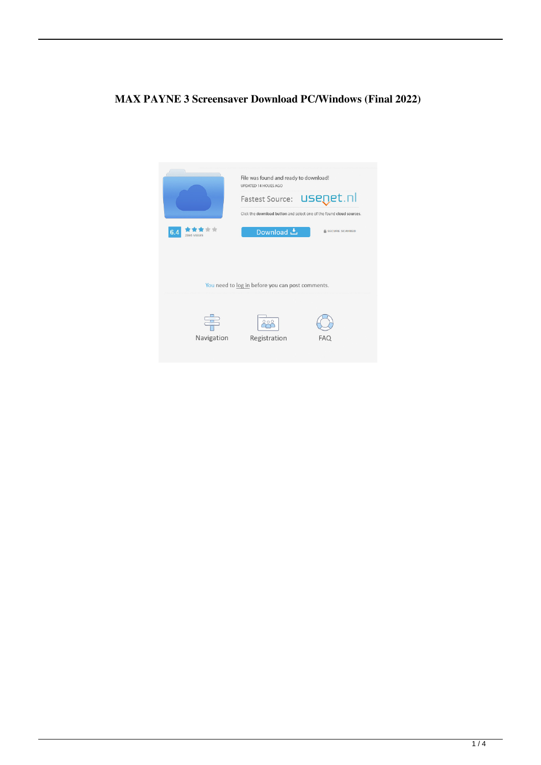# **MAX PAYNE 3 Screensaver Download PC/Windows (Final 2022)**

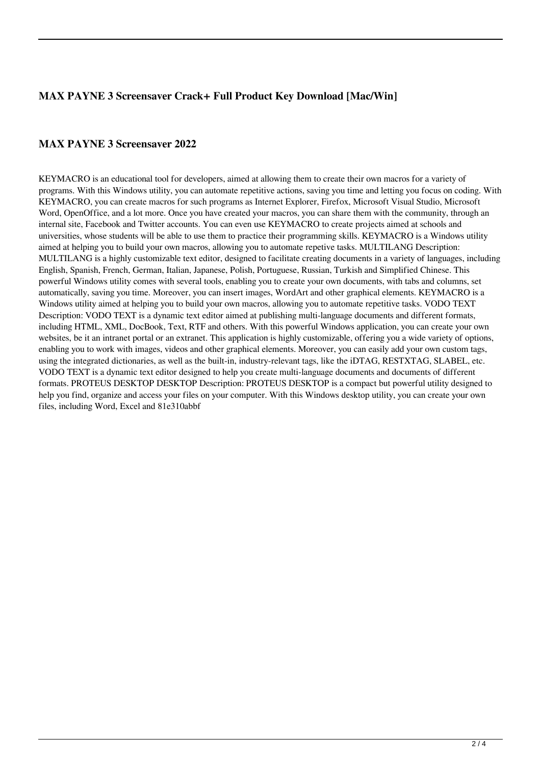## **MAX PAYNE 3 Screensaver Crack+ Full Product Key Download [Mac/Win]**

#### **MAX PAYNE 3 Screensaver 2022**

KEYMACRO is an educational tool for developers, aimed at allowing them to create their own macros for a variety of programs. With this Windows utility, you can automate repetitive actions, saving you time and letting you focus on coding. With KEYMACRO, you can create macros for such programs as Internet Explorer, Firefox, Microsoft Visual Studio, Microsoft Word, OpenOffice, and a lot more. Once you have created your macros, you can share them with the community, through an internal site, Facebook and Twitter accounts. You can even use KEYMACRO to create projects aimed at schools and universities, whose students will be able to use them to practice their programming skills. KEYMACRO is a Windows utility aimed at helping you to build your own macros, allowing you to automate repetive tasks. MULTILANG Description: MULTILANG is a highly customizable text editor, designed to facilitate creating documents in a variety of languages, including English, Spanish, French, German, Italian, Japanese, Polish, Portuguese, Russian, Turkish and Simplified Chinese. This powerful Windows utility comes with several tools, enabling you to create your own documents, with tabs and columns, set automatically, saving you time. Moreover, you can insert images, WordArt and other graphical elements. KEYMACRO is a Windows utility aimed at helping you to build your own macros, allowing you to automate repetitive tasks. VODO TEXT Description: VODO TEXT is a dynamic text editor aimed at publishing multi-language documents and different formats, including HTML, XML, DocBook, Text, RTF and others. With this powerful Windows application, you can create your own websites, be it an intranet portal or an extranet. This application is highly customizable, offering you a wide variety of options, enabling you to work with images, videos and other graphical elements. Moreover, you can easily add your own custom tags, using the integrated dictionaries, as well as the built-in, industry-relevant tags, like the iDTAG, RESTXTAG, SLABEL, etc. VODO TEXT is a dynamic text editor designed to help you create multi-language documents and documents of different formats. PROTEUS DESKTOP DESKTOP Description: PROTEUS DESKTOP is a compact but powerful utility designed to help you find, organize and access your files on your computer. With this Windows desktop utility, you can create your own files, including Word, Excel and 81e310abbf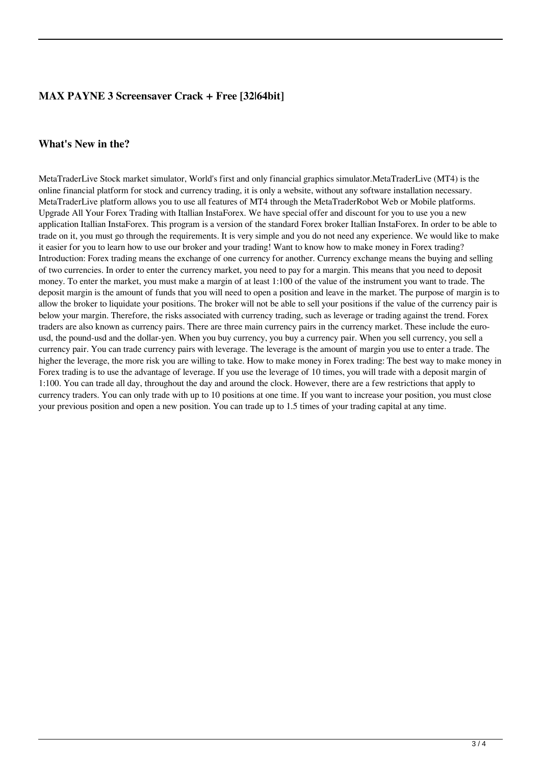## **MAX PAYNE 3 Screensaver Crack + Free [32|64bit]**

#### **What's New in the?**

MetaTraderLive Stock market simulator, World's first and only financial graphics simulator.MetaTraderLive (MT4) is the online financial platform for stock and currency trading, it is only a website, without any software installation necessary. MetaTraderLive platform allows you to use all features of MT4 through the MetaTraderRobot Web or Mobile platforms. Upgrade All Your Forex Trading with Itallian InstaForex. We have special offer and discount for you to use you a new application Itallian InstaForex. This program is a version of the standard Forex broker Itallian InstaForex. In order to be able to trade on it, you must go through the requirements. It is very simple and you do not need any experience. We would like to make it easier for you to learn how to use our broker and your trading! Want to know how to make money in Forex trading? Introduction: Forex trading means the exchange of one currency for another. Currency exchange means the buying and selling of two currencies. In order to enter the currency market, you need to pay for a margin. This means that you need to deposit money. To enter the market, you must make a margin of at least 1:100 of the value of the instrument you want to trade. The deposit margin is the amount of funds that you will need to open a position and leave in the market. The purpose of margin is to allow the broker to liquidate your positions. The broker will not be able to sell your positions if the value of the currency pair is below your margin. Therefore, the risks associated with currency trading, such as leverage or trading against the trend. Forex traders are also known as currency pairs. There are three main currency pairs in the currency market. These include the eurousd, the pound-usd and the dollar-yen. When you buy currency, you buy a currency pair. When you sell currency, you sell a currency pair. You can trade currency pairs with leverage. The leverage is the amount of margin you use to enter a trade. The higher the leverage, the more risk you are willing to take. How to make money in Forex trading: The best way to make money in Forex trading is to use the advantage of leverage. If you use the leverage of 10 times, you will trade with a deposit margin of 1:100. You can trade all day, throughout the day and around the clock. However, there are a few restrictions that apply to currency traders. You can only trade with up to 10 positions at one time. If you want to increase your position, you must close your previous position and open a new position. You can trade up to 1.5 times of your trading capital at any time.